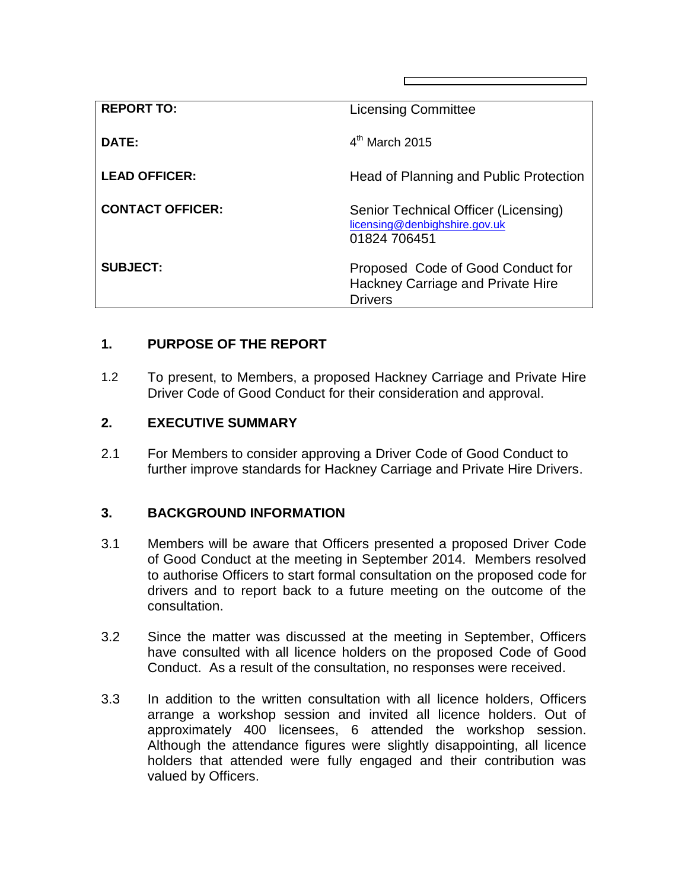| <b>REPORT TO:</b>       | <b>Licensing Committee</b>                                                               |
|-------------------------|------------------------------------------------------------------------------------------|
| DATE:                   | $4th$ March 2015                                                                         |
| <b>LEAD OFFICER:</b>    | Head of Planning and Public Protection                                                   |
| <b>CONTACT OFFICER:</b> | Senior Technical Officer (Licensing)<br>licensing@denbighshire.gov.uk<br>01824 706451    |
| <b>SUBJECT:</b>         | Proposed Code of Good Conduct for<br>Hackney Carriage and Private Hire<br><b>Drivers</b> |

## **1. PURPOSE OF THE REPORT**

1.2 To present, to Members, a proposed Hackney Carriage and Private Hire Driver Code of Good Conduct for their consideration and approval.

## **2. EXECUTIVE SUMMARY**

2.1 For Members to consider approving a Driver Code of Good Conduct to further improve standards for Hackney Carriage and Private Hire Drivers.

## **3. BACKGROUND INFORMATION**

- 3.1 Members will be aware that Officers presented a proposed Driver Code of Good Conduct at the meeting in September 2014. Members resolved to authorise Officers to start formal consultation on the proposed code for drivers and to report back to a future meeting on the outcome of the consultation.
- 3.2 Since the matter was discussed at the meeting in September, Officers have consulted with all licence holders on the proposed Code of Good Conduct. As a result of the consultation, no responses were received.
- 3.3 In addition to the written consultation with all licence holders, Officers arrange a workshop session and invited all licence holders. Out of approximately 400 licensees, 6 attended the workshop session. Although the attendance figures were slightly disappointing, all licence holders that attended were fully engaged and their contribution was valued by Officers.